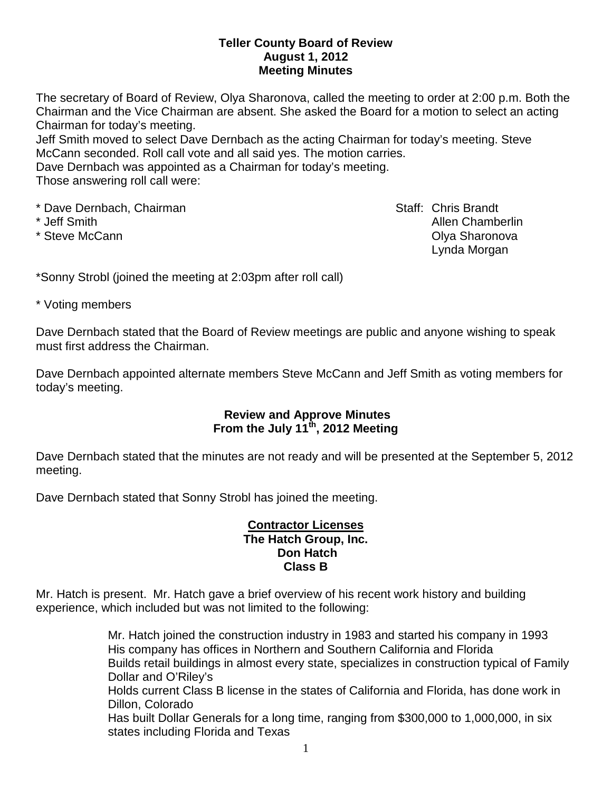### **Teller County Board of Review August 1, 2012 Meeting Minutes**

The secretary of Board of Review, Olya Sharonova, called the meeting to order at 2:00 p.m. Both the Chairman and the Vice Chairman are absent. She asked the Board for a motion to select an acting Chairman for today's meeting.

Jeff Smith moved to select Dave Dernbach as the acting Chairman for today's meeting. Steve McCann seconded. Roll call vote and all said yes. The motion carries.

Dave Dernbach was appointed as a Chairman for today's meeting. Those answering roll call were:

\* Dave Dernbach, Chairman Staff: Chris Brandt

\* Jeff Smith Allen Chamberlin \* Steve McCann Olya Sharonova Lynda Morgan

\*Sonny Strobl (joined the meeting at 2:03pm after roll call)

\* Voting members

Dave Dernbach stated that the Board of Review meetings are public and anyone wishing to speak must first address the Chairman.

Dave Dernbach appointed alternate members Steve McCann and Jeff Smith as voting members for today's meeting.

## **Review and Approve Minutes From the July 11th, 2012 Meeting**

Dave Dernbach stated that the minutes are not ready and will be presented at the September 5, 2012 meeting.

Dave Dernbach stated that Sonny Strobl has joined the meeting.

### **Contractor Licenses The Hatch Group, Inc. Don Hatch Class B**

Mr. Hatch is present. Mr. Hatch gave a brief overview of his recent work history and building experience, which included but was not limited to the following:

> Mr. Hatch joined the construction industry in 1983 and started his company in 1993 His company has offices in Northern and Southern California and Florida Builds retail buildings in almost every state, specializes in construction typical of Family Dollar and O'Riley's Holds current Class B license in the states of California and Florida, has done work in Dillon, Colorado Has built Dollar Generals for a long time, ranging from \$300,000 to 1,000,000, in six states including Florida and Texas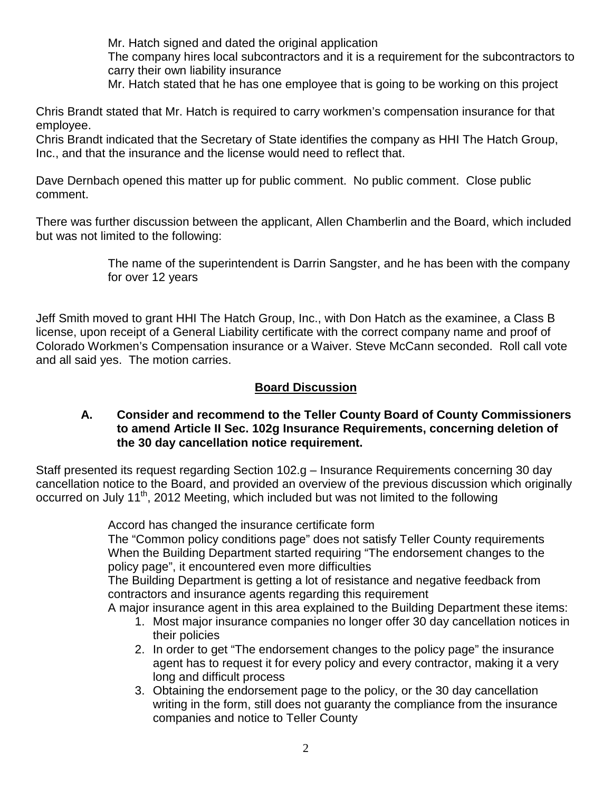Mr. Hatch signed and dated the original application The company hires local subcontractors and it is a requirement for the subcontractors to carry their own liability insurance

Mr. Hatch stated that he has one employee that is going to be working on this project

Chris Brandt stated that Mr. Hatch is required to carry workmen's compensation insurance for that employee.

Chris Brandt indicated that the Secretary of State identifies the company as HHI The Hatch Group, Inc., and that the insurance and the license would need to reflect that.

Dave Dernbach opened this matter up for public comment. No public comment. Close public comment.

There was further discussion between the applicant, Allen Chamberlin and the Board, which included but was not limited to the following:

> The name of the superintendent is Darrin Sangster, and he has been with the company for over 12 years

Jeff Smith moved to grant HHI The Hatch Group, Inc., with Don Hatch as the examinee, a Class B license, upon receipt of a General Liability certificate with the correct company name and proof of Colorado Workmen's Compensation insurance or a Waiver. Steve McCann seconded. Roll call vote and all said yes. The motion carries.

## **Board Discussion**

#### **A. Consider and recommend to the Teller County Board of County Commissioners to amend Article II Sec. 102g Insurance Requirements, concerning deletion of the 30 day cancellation notice requirement.**

Staff presented its request regarding Section 102.g – Insurance Requirements concerning 30 day cancellation notice to the Board, and provided an overview of the previous discussion which originally occurred on July 11<sup>th</sup>, 2012 Meeting, which included but was not limited to the following

Accord has changed the insurance certificate form

The "Common policy conditions page" does not satisfy Teller County requirements When the Building Department started requiring "The endorsement changes to the policy page", it encountered even more difficulties

The Building Department is getting a lot of resistance and negative feedback from contractors and insurance agents regarding this requirement

A major insurance agent in this area explained to the Building Department these items:

- 1. Most major insurance companies no longer offer 30 day cancellation notices in their policies
- 2. In order to get "The endorsement changes to the policy page" the insurance agent has to request it for every policy and every contractor, making it a very long and difficult process
- 3. Obtaining the endorsement page to the policy, or the 30 day cancellation writing in the form, still does not guaranty the compliance from the insurance companies and notice to Teller County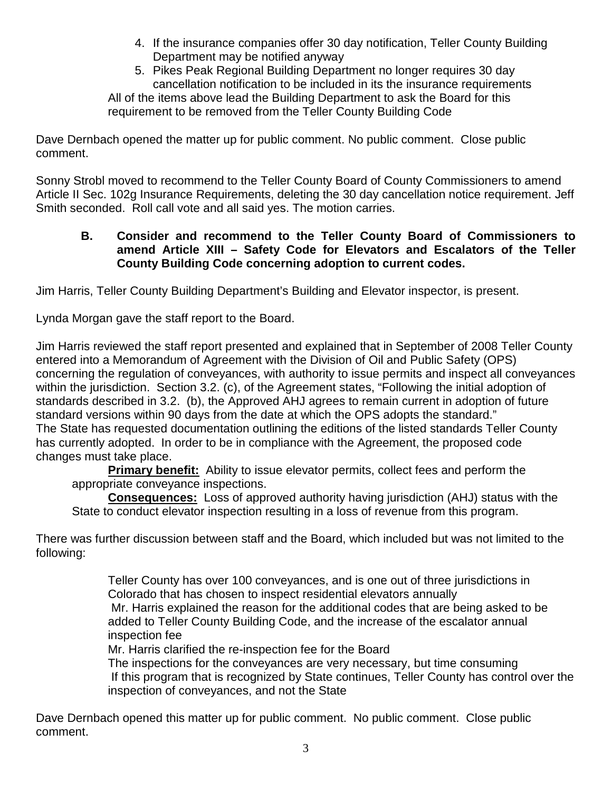4. If the insurance companies offer 30 day notification, Teller County Building Department may be notified anyway

5. Pikes Peak Regional Building Department no longer requires 30 day cancellation notification to be included in its the insurance requirements All of the items above lead the Building Department to ask the Board for this requirement to be removed from the Teller County Building Code

Dave Dernbach opened the matter up for public comment. No public comment. Close public comment.

Sonny Strobl moved to recommend to the Teller County Board of County Commissioners to amend Article II Sec. 102g Insurance Requirements, deleting the 30 day cancellation notice requirement. Jeff Smith seconded. Roll call vote and all said yes. The motion carries.

# **B. Consider and recommend to the Teller County Board of Commissioners to amend Article XIII – Safety Code for Elevators and Escalators of the Teller County Building Code concerning adoption to current codes.**

Jim Harris, Teller County Building Department's Building and Elevator inspector, is present.

Lynda Morgan gave the staff report to the Board.

Jim Harris reviewed the staff report presented and explained that in September of 2008 Teller County entered into a Memorandum of Agreement with the Division of Oil and Public Safety (OPS) concerning the regulation of conveyances, with authority to issue permits and inspect all conveyances within the jurisdiction. Section 3.2. (c), of the Agreement states, "Following the initial adoption of standards described in 3.2. (b), the Approved AHJ agrees to remain current in adoption of future standard versions within 90 days from the date at which the OPS adopts the standard." The State has requested documentation outlining the editions of the listed standards Teller County has currently adopted. In order to be in compliance with the Agreement, the proposed code changes must take place.

**Primary benefit:** Ability to issue elevator permits, collect fees and perform the appropriate conveyance inspections.

**Consequences:** Loss of approved authority having jurisdiction (AHJ) status with the State to conduct elevator inspection resulting in a loss of revenue from this program.

There was further discussion between staff and the Board, which included but was not limited to the following:

> Teller County has over 100 conveyances, and is one out of three jurisdictions in Colorado that has chosen to inspect residential elevators annually Mr. Harris explained the reason for the additional codes that are being asked to be added to Teller County Building Code, and the increase of the escalator annual inspection fee

Mr. Harris clarified the re-inspection fee for the Board

The inspections for the conveyances are very necessary, but time consuming If this program that is recognized by State continues, Teller County has control over the inspection of conveyances, and not the State

Dave Dernbach opened this matter up for public comment. No public comment. Close public comment.